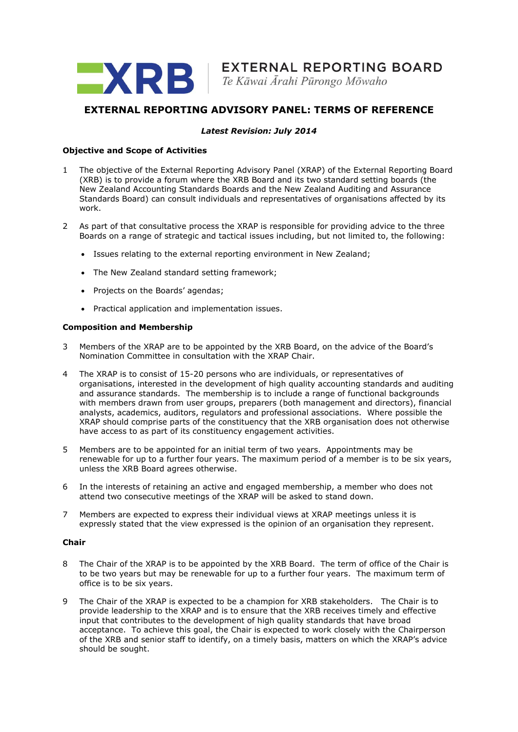

# **EXTERNAL REPORTING ADVISORY PANEL: TERMS OF REFERENCE**

## *Latest Revision: July 2014*

## **Objective and Scope of Activities**

- 1 The objective of the External Reporting Advisory Panel (XRAP) of the External Reporting Board (XRB) is to provide a forum where the XRB Board and its two standard setting boards (the New Zealand Accounting Standards Boards and the New Zealand Auditing and Assurance Standards Board) can consult individuals and representatives of organisations affected by its work.
- 2 As part of that consultative process the XRAP is responsible for providing advice to the three Boards on a range of strategic and tactical issues including, but not limited to, the following:
	- Issues relating to the external reporting environment in New Zealand;
	- The New Zealand standard setting framework:
	- Projects on the Boards' agendas:
	- Practical application and implementation issues.

## **Composition and Membership**

- 3 Members of the XRAP are to be appointed by the XRB Board, on the advice of the Board's Nomination Committee in consultation with the XRAP Chair.
- 4 The XRAP is to consist of 15-20 persons who are individuals, or representatives of organisations, interested in the development of high quality accounting standards and auditing and assurance standards. The membership is to include a range of functional backgrounds with members drawn from user groups, preparers (both management and directors), financial analysts, academics, auditors, regulators and professional associations. Where possible the XRAP should comprise parts of the constituency that the XRB organisation does not otherwise have access to as part of its constituency engagement activities.
- 5 Members are to be appointed for an initial term of two years. Appointments may be renewable for up to a further four years. The maximum period of a member is to be six years, unless the XRB Board agrees otherwise.
- 6 In the interests of retaining an active and engaged membership, a member who does not attend two consecutive meetings of the XRAP will be asked to stand down.
- 7 Members are expected to express their individual views at XRAP meetings unless it is expressly stated that the view expressed is the opinion of an organisation they represent.

### **Chair**

- 8 The Chair of the XRAP is to be appointed by the XRB Board. The term of office of the Chair is to be two years but may be renewable for up to a further four years. The maximum term of office is to be six years.
- 9 The Chair of the XRAP is expected to be a champion for XRB stakeholders. The Chair is to provide leadership to the XRAP and is to ensure that the XRB receives timely and effective input that contributes to the development of high quality standards that have broad acceptance. To achieve this goal, the Chair is expected to work closely with the Chairperson of the XRB and senior staff to identify, on a timely basis, matters on which the XRAP's advice should be sought.